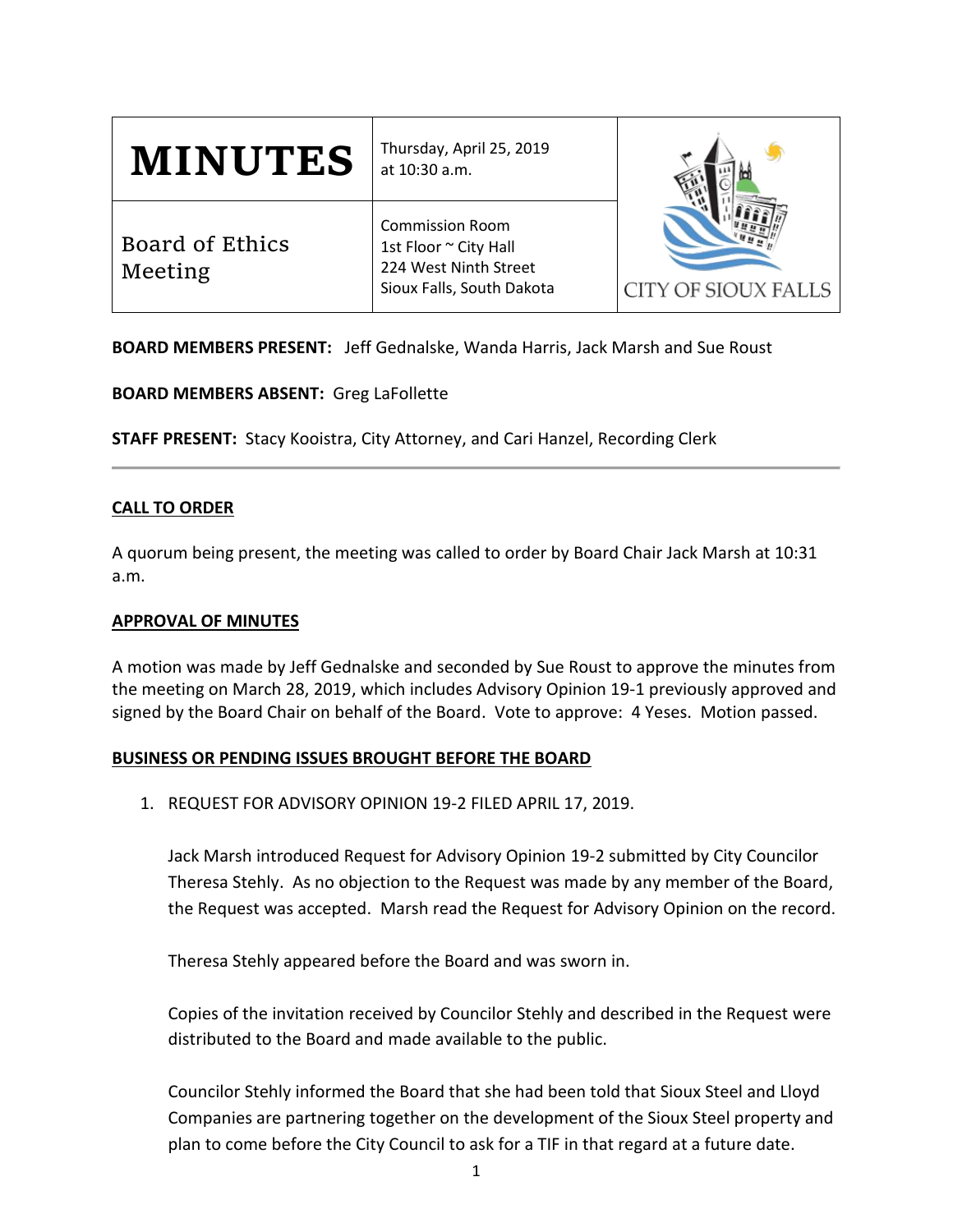| <b>MINUTES</b>             | Thursday, April 25, 2019<br>at 10:30 a.m.                                                             | <b>CITY OF SIOUX FALLS</b> |
|----------------------------|-------------------------------------------------------------------------------------------------------|----------------------------|
| Board of Ethics<br>Meeting | <b>Commission Room</b><br>1st Floor ~ City Hall<br>224 West Ninth Street<br>Sioux Falls, South Dakota |                            |

**BOARD MEMBERS PRESENT:** Jeff Gednalske, Wanda Harris, Jack Marsh and Sue Roust

**BOARD MEMBERS ABSENT:** Greg LaFollette

**STAFF PRESENT:** Stacy Kooistra, City Attorney, and Cari Hanzel, Recording Clerk

# **CALL TO ORDER**

A quorum being present, the meeting was called to order by Board Chair Jack Marsh at 10:31 a.m.

## **APPROVAL OF MINUTES**

A motion was made by Jeff Gednalske and seconded by Sue Roust to approve the minutes from the meeting on March 28, 2019, which includes Advisory Opinion 19-1 previously approved and signed by the Board Chair on behalf of the Board. Vote to approve: 4 Yeses. Motion passed.

## **BUSINESS OR PENDING ISSUES BROUGHT BEFORE THE BOARD**

1. REQUEST FOR ADVISORY OPINION 19-2 FILED APRIL 17, 2019.

Jack Marsh introduced Request for Advisory Opinion 19-2 submitted by City Councilor Theresa Stehly. As no objection to the Request was made by any member of the Board, the Request was accepted. Marsh read the Request for Advisory Opinion on the record.

Theresa Stehly appeared before the Board and was sworn in.

Copies of the invitation received by Councilor Stehly and described in the Request were distributed to the Board and made available to the public.

Councilor Stehly informed the Board that she had been told that Sioux Steel and Lloyd Companies are partnering together on the development of the Sioux Steel property and plan to come before the City Council to ask for a TIF in that regard at a future date.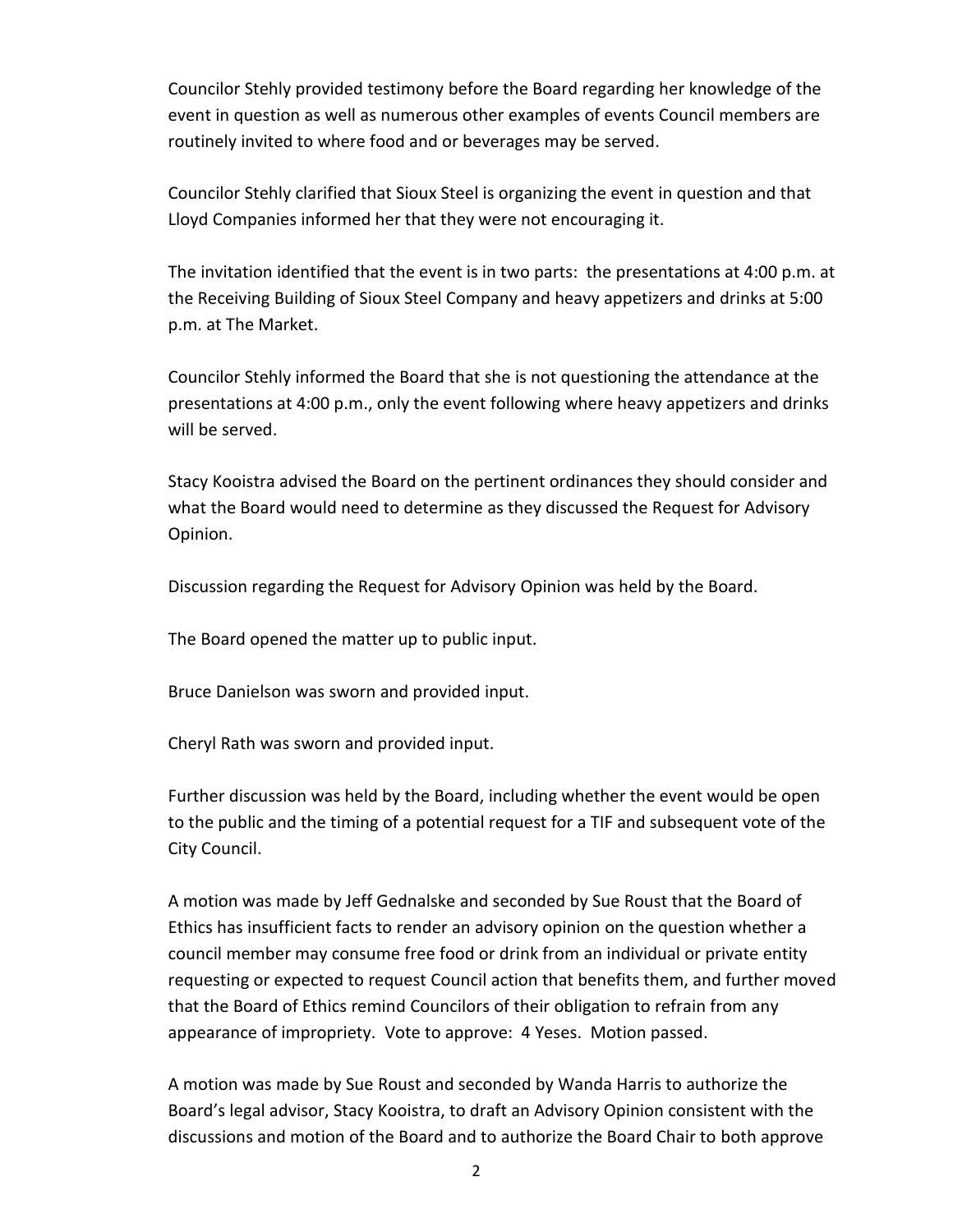Councilor Stehly provided testimony before the Board regarding her knowledge of the event in question as well as numerous other examples of events Council members are routinely invited to where food and or beverages may be served.

Councilor Stehly clarified that Sioux Steel is organizing the event in question and that Lloyd Companies informed her that they were not encouraging it.

The invitation identified that the event is in two parts: the presentations at 4:00 p.m. at the Receiving Building of Sioux Steel Company and heavy appetizers and drinks at 5:00 p.m. at The Market.

Councilor Stehly informed the Board that she is not questioning the attendance at the presentations at 4:00 p.m., only the event following where heavy appetizers and drinks will be served.

Stacy Kooistra advised the Board on the pertinent ordinances they should consider and what the Board would need to determine as they discussed the Request for Advisory Opinion.

Discussion regarding the Request for Advisory Opinion was held by the Board.

The Board opened the matter up to public input.

Bruce Danielson was sworn and provided input.

Cheryl Rath was sworn and provided input.

Further discussion was held by the Board, including whether the event would be open to the public and the timing of a potential request for a TIF and subsequent vote of the City Council.

A motion was made by Jeff Gednalske and seconded by Sue Roust that the Board of Ethics has insufficient facts to render an advisory opinion on the question whether a council member may consume free food or drink from an individual or private entity requesting or expected to request Council action that benefits them, and further moved that the Board of Ethics remind Councilors of their obligation to refrain from any appearance of impropriety. Vote to approve: 4 Yeses. Motion passed.

A motion was made by Sue Roust and seconded by Wanda Harris to authorize the Board's legal advisor, Stacy Kooistra, to draft an Advisory Opinion consistent with the discussions and motion of the Board and to authorize the Board Chair to both approve